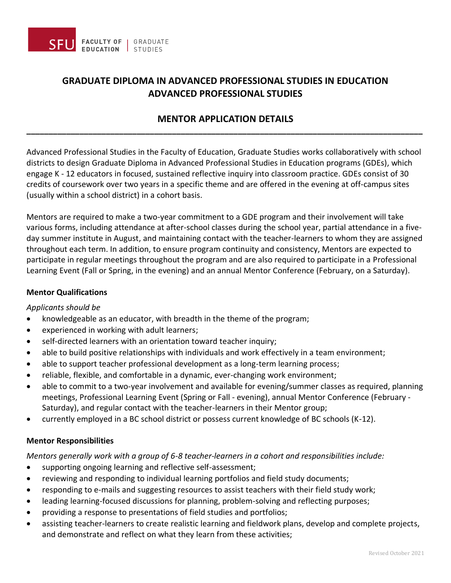

# **GRADUATE DIPLOMA IN ADVANCED PROFESSIONAL STUDIES IN EDUCATION ADVANCED PROFESSIONAL STUDIES**

## **MENTOR APPLICATION DETAILS \_\_\_\_\_\_\_\_\_\_\_\_\_\_\_\_\_\_\_\_\_\_\_\_\_\_\_\_\_\_\_\_\_\_\_\_\_\_\_\_\_\_\_\_\_\_\_\_\_\_\_\_\_\_\_\_\_\_\_\_\_\_\_\_\_\_\_\_\_\_\_\_\_\_\_\_\_\_\_\_\_\_\_\_\_\_\_\_\_\_**

Advanced Professional Studies in the Faculty of Education, Graduate Studies works collaboratively with school districts to design Graduate Diploma in Advanced Professional Studies in Education programs (GDEs), which engage K - 12 educators in focused, sustained reflective inquiry into classroom practice. GDEs consist of 30 credits of coursework over two years in a specific theme and are offered in the evening at off-campus sites (usually within a school district) in a cohort basis.

Mentors are required to make a two-year commitment to a GDE program and their involvement will take various forms, including attendance at after-school classes during the school year, partial attendance in a fiveday summer institute in August, and maintaining contact with the teacher-learners to whom they are assigned throughout each term. In addition, to ensure program continuity and consistency, Mentors are expected to participate in regular meetings throughout the program and are also required to participate in a Professional Learning Event (Fall or Spring, in the evening) and an annual Mentor Conference (February, on a Saturday).

### **Mentor Qualifications**

#### *Applicants should be*

- knowledgeable as an educator, with breadth in the theme of the program;
- experienced in working with adult learners;
- self-directed learners with an orientation toward teacher inquiry;
- able to build positive relationships with individuals and work effectively in a team environment;
- able to support teacher professional development as a long-term learning process;
- reliable, flexible, and comfortable in a dynamic, ever-changing work environment;
- able to commit to a two-year involvement and available for evening/summer classes as required, planning meetings, Professional Learning Event (Spring or Fall - evening), annual Mentor Conference (February - Saturday), and regular contact with the teacher-learners in their Mentor group;
- currently employed in a BC school district or possess current knowledge of BC schools (K-12).

#### **Mentor Responsibilities**

*Mentors generally work with a group of 6-8 teacher-learners in a cohort and responsibilities include:*

- supporting ongoing learning and reflective self-assessment;
- reviewing and responding to individual learning portfolios and field study documents;
- responding to e-mails and suggesting resources to assist teachers with their field study work;
- leading learning-focused discussions for planning, problem-solving and reflecting purposes;
- providing a response to presentations of field studies and portfolios;
- assisting teacher-learners to create realistic learning and fieldwork plans, develop and complete projects, and demonstrate and reflect on what they learn from these activities;